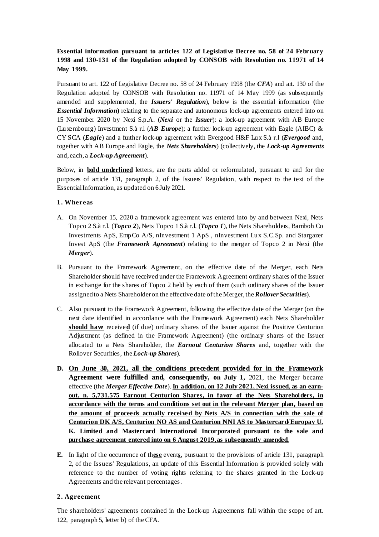**Essential information pursuant to articles 122 of Legislative Decree no. 58 of 24 February 1998 and 130-131 of the Regulation adopted by CONSOB with Resolution no. 11971 of 14 May 1999.**

Pursuant to art. 122 of Legislative Decree no. 58 of 24 February 1998 (the *CFA*) and art. 130 of the Regulation adopted by CONSOB with Resolution no. 11971 of 14 May 1999 (as subsequently amended and supplemented, the *Issuers' Regulation*), below is the essential information **(**the *Essential Information*) relating to the separate and autonomous lock-up agreements entered into on 15 November 2020 by Nexi S.p.A. (*Nexi* or the *Issuer*): a lock-up agreement with AB Europe (Luxembourg) Investment S.à r.l (*AB Europe*); a further lock-up agreement with Eagle (AIBC) & CY SCA (*Eagle*) and a further lock-up agreement with Evergood H&F Lux S.à r.l (*Evergood* and, together with AB Europe and Eagle, the *Nets Shareholders*) (collectively, the *Lock-up Agreements*  and, each, a *Lock-up Agreement*).

Below, in **bold underlined** letters, are the parts added or reformulated, pursuant to and for the purposes of article 131, paragraph 2, of the Issuers' Regulation, with respect to the text of the Essential Information, as updated on 6July 2021.

## **1. Whereas**

- A. On November 15, 2020 a framework agreement was entered into by and between Nexi, Nets Topco 2 S.à r.l. (*Topco 2*), Nets Topco 1 S.à r.l. (*Topco 1*), the Nets Shareholders, Bamboh Co Investments ApS, EmpCo A/S, nInvestment 1 ApS , nInvestment Lux S.C.Sp. and Stargazer Invest ApS (the *Framework Agreement*) relating to the merger of Topco 2 in Nexi (the *Merger*).
- B. Pursuant to the Framework Agreement, on the effective date of the Merger, each Nets Shareholder should have received under the Framework Agreement ordinary shares of the Issuer in exchange for the shares of Topco 2 held by each of them (such ordinary shares of the Issuer assigned to a Nets Shareholder on the effective date of the Merger, the *Rollover Securities*).
- C. Also pursuant to the Framework Agreement, following the effective date of the Merger (on the next date identified in accordance with the Framework Agreement) each Nets Shareholder **should have** receive**d** (if due) ordinary shares of the Issuer against the Positive Centurion Adjustment (as defined in the Framework Agreement) (the ordinary shares of the Issuer allocated to a Nets Shareholder, the *Earnout Centurion Shares* and, together with the Rollover Securities, the *Lock-up Shares*).
- **D. On June 30, 2021, all the conditions precedent provided for in the Framework Agreement were fulfilled and, consequently, on July 1,** 2021, the Merger became effective (the *Merger Effective Date*). **In addition, on 12 July 2021, Nexi issued, as an earnout, n. 5,731,575 Earnout Centurion Shares, in favor of the Nets Shareholders, in accordance with the terms and conditions set out in the relevant Merger plan, based on the amount of proceeds actually received by Nets A/S in connection with the sale of Centurion DK A/S, Centurion NO AS and Centurion NNI AS to Mastercard/Europay U. K. Limited and Mastercard International Incorporated pursuant to the sale and purchase agreement entered into on 6 August 2019, as subsequently amended.**
- **E.** In light of the occurrence of th**ese** event**s**, pursuant to the provisions of article 131, paragraph 2, of the Issuers' Regulations, an update of this Essential Information is provided solely with reference to the number of voting rights referring to the shares granted in the Lock-up Agreements and the relevant percentages.

## **2. Agreement**

The shareholders' agreements contained in the Lock-up Agreements fall within the scope of art. 122, paragraph 5, letter b) of the CFA.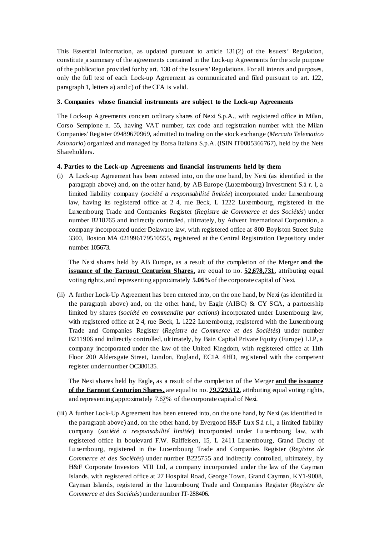This Essential Information, as updated pursuant to article 131(2) of the Issuers' Regulation, constitute a summary of the agreements contained in the Lock-up Agreements for the sole purpose of the publication provided for by art. 130 of the Issuers' Regulations. For all intents and purposes, only the full text of each Lock-up Agreement as communicated and filed pursuant to art. 122, paragraph 1, letters a) and c) of the CFA is valid.

#### **3. Companies whose financial instruments are subject to the Lock-up Agreements**

The Lock-up Agreements concem ordinary shares of Nexi S.p.A., with registered office in Milan, Corso Sempione n. 55, having VAT number, tax code and registration number with the Milan Companies' Register 09489670969, admitted to trading on the stock exchange (*Mercato Telematico Azionario*) organized and managed by Borsa Italiana S.p.A. (ISIN IT0005366767), held by the Nets Shareholders.

#### **4. Parties to the Lock-up Agreements and financial instruments held by them**

(i) A Lock-up Agreement has been entered into, on the one hand, by Nexi (as identified in the paragraph above) and, on the other hand, by AB Europe (Luxembourg) Investment S.à r. l, a limited liability company (*société a responsabilité limitée*) incorporated under Luxembourg law, having its registered office at 2 4, rue Beck, L 1222 Luxembourg, registered in the Luxembourg Trade and Companies Register (*Registre de Commerce et des Sociétés*) under number B218765 and indirectly controlled, ultimately, by Advent International Corporation, a company incorporated under Delaware law, with registered office at 800 Boylston Street Suite 3300, Boston MA 021996179510555, registered at the Central Registration Depository under number 105673.

The Nexi shares held by AB Europe**,** as a result of the completion of the Merger **and the issuance of the Earnout Centurion Shares,** are equal to no. **52,678,731**, attributing equal voting rights, and representing approximately **5.06**% of the corporate capital of Nexi.

(ii) A further Lock-Up Agreement has been entered into, on the one hand, by Nexi (as identified in the paragraph above) and, on the other hand, by Eagle (AIBC)  $\&$  CY SCA, a partnership limited by shares (*société en commandite par actions*) incorporated under Luxembourg law, with registered office at 24, rue Beck, L 1222 Luxembourg, registered with the Luxembourg Trade and Companies Register (*Registre de Commerce et des Sociétés*) under number B211906 and indirectly controlled, ultimately, by Bain Capital Private Equity (Europe) LLP, a company incorporated under the law of the United Kingdom, with registered office at 11th Floor 200 Aldersgate Street, London, England, EC1A 4HD, registered with the competent register under number OC380135.

The Nexi shares held by Eagle**,** as a result of the completion of the Merger **and the issuance of the Earnout Centurion Shares,** are equal to no. **79,729,512**, attributing equal voting rights, and representing approximately 7.6**7**% of the corporate capital of Nexi.

(iii) A further Lock-Up Agreement has been entered into, on the one hand, by Nexi (as identified in the paragraph above) and, on the other hand, by Evergood H&F Lux S.à r.l., a limited liability company (*société a responsabilité limitée*) incorporated under Luxembourg law, with registered office in boulevard F.W. Raiffeisen, 15, L 2411 Luxembourg, Grand Duchy of Luxembourg, registered in the Luxembourg Trade and Companies Register (*Registre de Commerce et des Sociétés*) under number B225755 and indirectly controlled, ultimately, by H&F Corporate Investors VIII Ltd, a company incorporated under the law of the Cayman Islands, with registered office at 27 Hospital Road, George Town, Grand Cayman, KY1-9008, Cayman Islands, registered in the Luxembourg Trade and Companies Register (*Registre de Commerce et des Sociétés*) under number IT-288406.